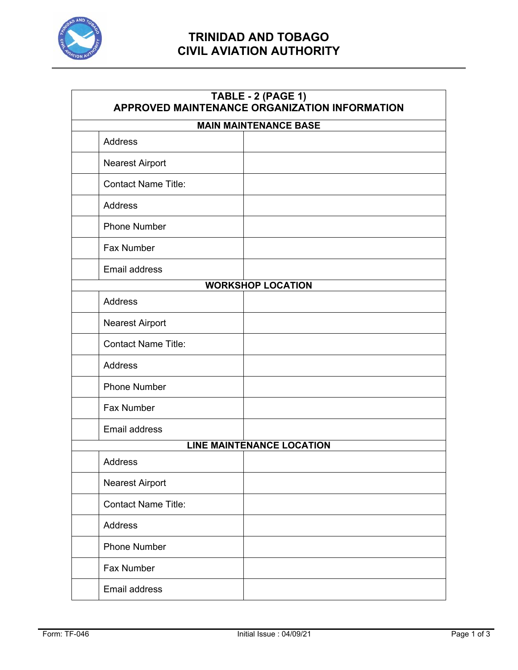

# **TRINIDAD AND TOBAGO CIVIL AVIATION AUTHORITY**

#### **TABLE - 2 (PAGE 1) APPROVED MAINTENANCE ORGANIZATION INFORMATION**

| <b>MAIN MAINTENANCE BASE</b>     |  |  |
|----------------------------------|--|--|
| <b>Address</b>                   |  |  |
| <b>Nearest Airport</b>           |  |  |
| <b>Contact Name Title:</b>       |  |  |
| Address                          |  |  |
| <b>Phone Number</b>              |  |  |
| Fax Number                       |  |  |
| Email address                    |  |  |
| <b>WORKSHOP LOCATION</b>         |  |  |
| Address                          |  |  |
| <b>Nearest Airport</b>           |  |  |
| <b>Contact Name Title:</b>       |  |  |
| <b>Address</b>                   |  |  |
| <b>Phone Number</b>              |  |  |
| Fax Number                       |  |  |
| Email address                    |  |  |
| <b>LINE MAINTENANCE LOCATION</b> |  |  |
| <b>Address</b>                   |  |  |
| <b>Nearest Airport</b>           |  |  |
| <b>Contact Name Title:</b>       |  |  |
| Address                          |  |  |
| <b>Phone Number</b>              |  |  |
| Fax Number                       |  |  |
| Email address                    |  |  |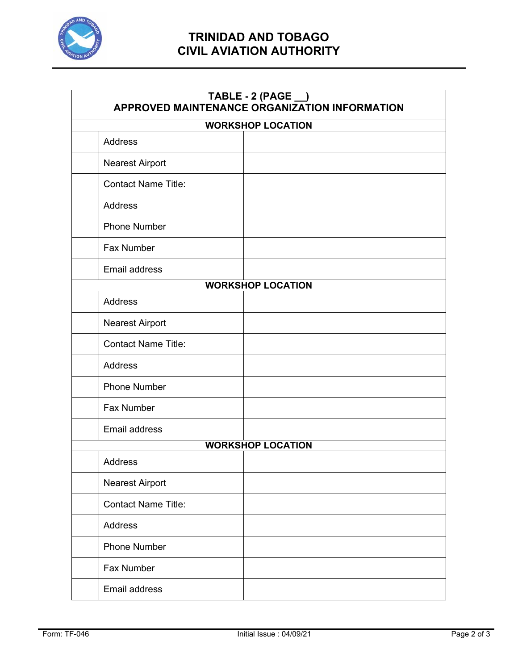

# **TRINIDAD AND TOBAGO CIVIL AVIATION AUTHORITY**

#### **TABLE - 2 (PAGE \_\_) APPROVED MAINTENANCE ORGANIZATION INFORMATION**

| <b>WORKSHOP LOCATION</b>   |  |  |
|----------------------------|--|--|
| <b>Address</b>             |  |  |
| <b>Nearest Airport</b>     |  |  |
| <b>Contact Name Title:</b> |  |  |
| <b>Address</b>             |  |  |
| <b>Phone Number</b>        |  |  |
| Fax Number                 |  |  |
| Email address              |  |  |
| <b>WORKSHOP LOCATION</b>   |  |  |
| Address                    |  |  |
| <b>Nearest Airport</b>     |  |  |
| <b>Contact Name Title:</b> |  |  |
| <b>Address</b>             |  |  |
| <b>Phone Number</b>        |  |  |
| Fax Number                 |  |  |
| Email address              |  |  |
| <b>WORKSHOP LOCATION</b>   |  |  |
| <b>Address</b>             |  |  |
| <b>Nearest Airport</b>     |  |  |
| Contact Name Title:        |  |  |
| Address                    |  |  |
| <b>Phone Number</b>        |  |  |
| Fax Number                 |  |  |
| Email address              |  |  |